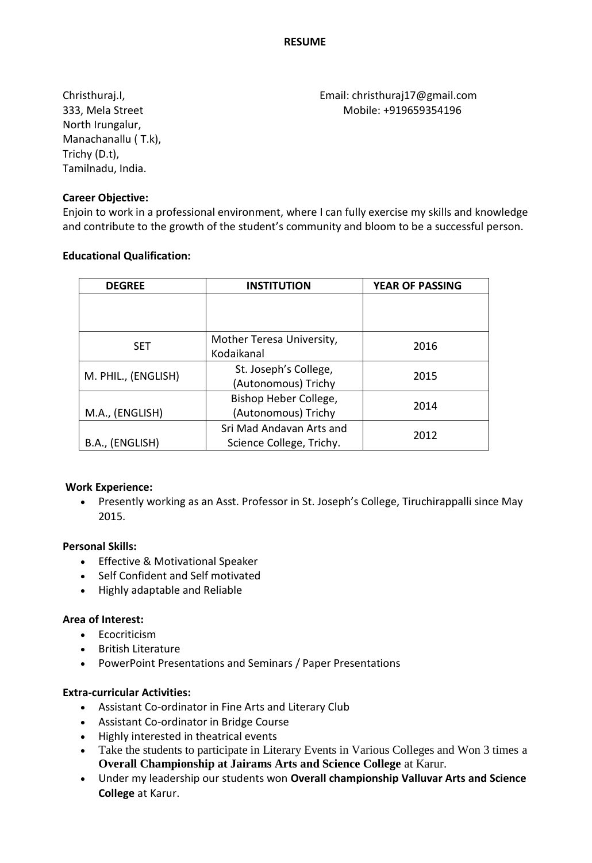North Irungalur, Manachanallu ( T.k), Trichy (D.t), Tamilnadu, India.

Christhuraj.I, Email: christhuraj17@gmail.com 333, Mela Street Mobile: +919659354196

## **Career Objective:**

Enjoin to work in a professional environment, where I can fully exercise my skills and knowledge and contribute to the growth of the student's community and bloom to be a successful person.

#### **Educational Qualification:**

| <b>DEGREE</b>       | <b>INSTITUTION</b>                                   | <b>YEAR OF PASSING</b> |
|---------------------|------------------------------------------------------|------------------------|
|                     |                                                      |                        |
| <b>SET</b>          | Mother Teresa University,<br>Kodaikanal              | 2016                   |
| M. PHIL., (ENGLISH) | St. Joseph's College,<br>(Autonomous) Trichy         | 2015                   |
| M.A., (ENGLISH)     | Bishop Heber College,<br>(Autonomous) Trichy         | 2014                   |
| B.A., (ENGLISH)     | Sri Mad Andavan Arts and<br>Science College, Trichy. | 2012                   |

#### **Work Experience:**

 Presently working as an Asst. Professor in St. Joseph's College, Tiruchirappalli since May 2015.

## **Personal Skills:**

- Effective & Motivational Speaker
- Self Confident and Self motivated
- Highly adaptable and Reliable

## **Area of Interest:**

- Ecocriticism
- British Literature
- PowerPoint Presentations and Seminars / Paper Presentations

## **Extra-curricular Activities:**

- Assistant Co-ordinator in Fine Arts and Literary Club
- Assistant Co-ordinator in Bridge Course
- Highly interested in theatrical events
- Take the students to participate in Literary Events in Various Colleges and Won 3 times a **Overall Championship at Jairams Arts and Science College** at Karur.
- Under my leadership our students won **Overall championship Valluvar Arts and Science College** at Karur.